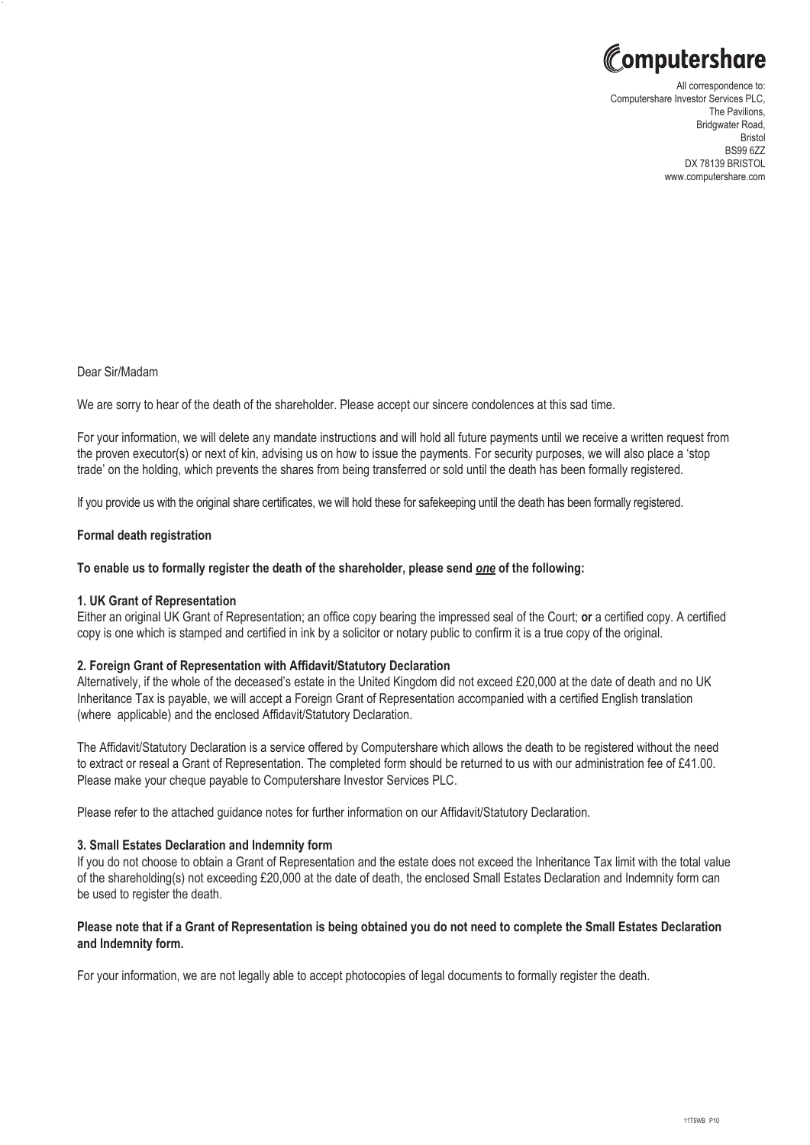

All correspondence to: Computershare Investor Services PLC, The Pavilions, Bridgwater Road, Bristol BS99 6ZZ DX 78139 BRISTOL www.computershare.com

#### Dear Sir/Madam

We are sorry to hear of the death of the shareholder. Please accept our sincere condolences at this sad time.

For your information, we will delete any mandate instructions and will hold all future payments until we receive a written request from the proven executor(s) or next of kin, advising us on how to issue the payments. For security purposes, we will also place a 'stop trade' on the holding, which prevents the shares from being transferred or sold until the death has been formally registered.

If you provide us with the original share certificates, we will hold these for safekeeping until the death has been formally registered.

#### **Formal death registration**

#### **To enable us to formally register the death of the shareholder, please send** *one* **of the following:**

#### **1. UK Grant of Representation**

Either an original UK Grant of Representation; an office copy bearing the impressed seal of the Court; or a certified copy. A certified copy is one which is stamped and certified in ink by a solicitor or notary public to confirm it is a true copy of the original.

#### **2. Foreign Grant of Representation with Affidavit/Statutory Declaration**

Alternatively, if the whole of the deceased's estate in the United Kingdom did not exceed £20,000 at the date of death and no UK Inheritance Tax is payable, we will accept a Foreign Grant of Representation accompanied with a certified English translation (where applicable) and the enclosed Affidavit/Statutory Declaration.

The Affidavit/Statutory Declaration is a service offered by Computershare which allows the death to be registered without the need to extract or reseal a Grant of Representation. The completed form should be returned to us with our administration fee of £41.00. Please make your cheque payable to Computershare Investor Services PLC.

Please refer to the attached quidance notes for further information on our Affidavit/Statutory Declaration.

#### **3. Small Estates Declaration and Indemnity form**

If you do not choose to obtain a Grant of Representation and the estate does not exceed the Inheritance Tax limit with the total value of the shareholding(s) not exceeding £20,000 at the date of death, the enclosed Small Estates Declaration and Indemnity form can be used to register the death.

#### **Please note that if a Grant of Representation is being obtained you do not need to complete the Small Estates Declaration and Indemnity form.**

For your information, we are not legally able to accept photocopies of legal documents to formally register the death.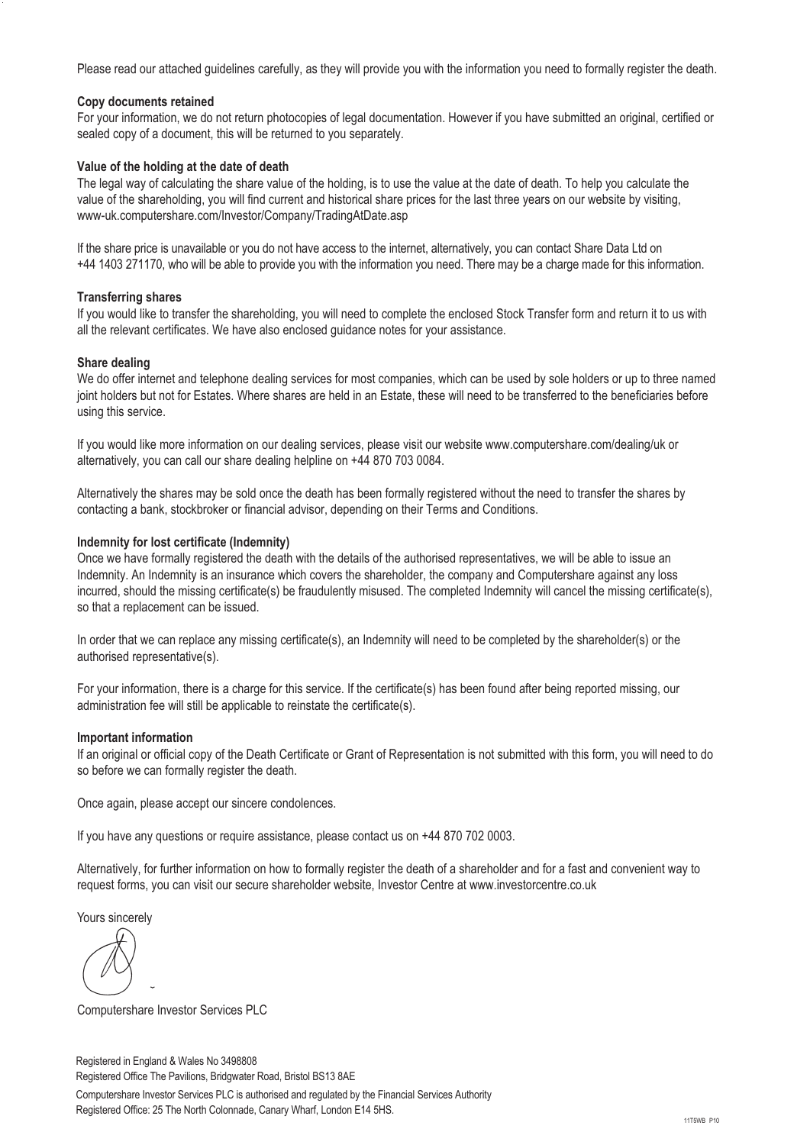Please read our attached guidelines carefully, as they will provide you with the information you need to formally register the death.

#### **Copy documents retained**

For your information, we do not return photocopies of legal documentation. However if you have submitted an original, certified or sealed copy of a document, this will be returned to you separately.

#### **Value of the holding at the date of death**

The legal way of calculating the share value of the holding, is to use the value at the date of death. To help you calculate the value of the shareholding, you will find current and historical share prices for the last three years on our website by visiting, www-uk.computershare.com/Investor/Company/TradingAtDate.asp

If the share price is unavailable or you do not have access to the internet, alternatively, you can contact Share Data Ltd on +44 1403 271170, who will be able to provide you with the information you need. There may be a charge made for this information.

#### **Transferring shares**

If you would like to transfer the shareholding, you will need to complete the enclosed Stock Transfer form and return it to us with all the relevant certificates. We have also enclosed guidance notes for your assistance.

#### **Share dealing**

We do offer internet and telephone dealing services for most companies, which can be used by sole holders or up to three named joint holders but not for Estates. Where shares are held in an Estate, these will need to be transferred to the beneficiaries before using this service.

If you would like more information on our dealing services, please visit our website www.computershare.com/dealing/uk or alternatively, you can call our share dealing helpline on +44 870 703 0084.

Alternatively the shares may be sold once the death has been formally registered without the need to transfer the shares by contacting a bank, stockbroker or financial advisor, depending on their Terms and Conditions.

#### **Indemnity for lost certificate (Indemnity)**

Once we have formally registered the death with the details of the authorised representatives, we will be able to issue an Indemnity. An Indemnity is an insurance which covers the shareholder, the company and Computershare against any loss incurred, should the missing certificate(s) be fraudulently misused. The completed Indemnity will cancel the missing certificate(s), so that a replacement can be issued.

In order that we can replace any missing certificate(s), an Indemnity will need to be completed by the shareholder(s) or the authorised representative(s).

For your information, there is a charge for this service. If the certificate(s) has been found after being reported missing, our administration fee will still be applicable to reinstate the certificate(s).

#### **Important information**

If an original or official copy of the Death Certificate or Grant of Representation is not submitted with this form, you will need to do so before we can formally register the death.

Once again, please accept our sincere condolences.

If you have any questions or require assistance, please contact us on +44 870 702 0003.

Alternatively, for further information on how to formally register the death of a shareholder and for a fast and convenient way to request forms, you can visit our secure shareholder website, Investor Centre at www.investorcentre.co.uk

Yours sincerely

Computershare Investor Services PLC

Registered in England & Wales No 3498808 Registered Office The Pavilions, Bridgwater Road, Bristol BS13 8AE Computershare Investor Services PLC is authorised and regulated by the Financial Services Authority Registered Office: 25 The North Colonnade, Canary Wharf, London E14 5HS.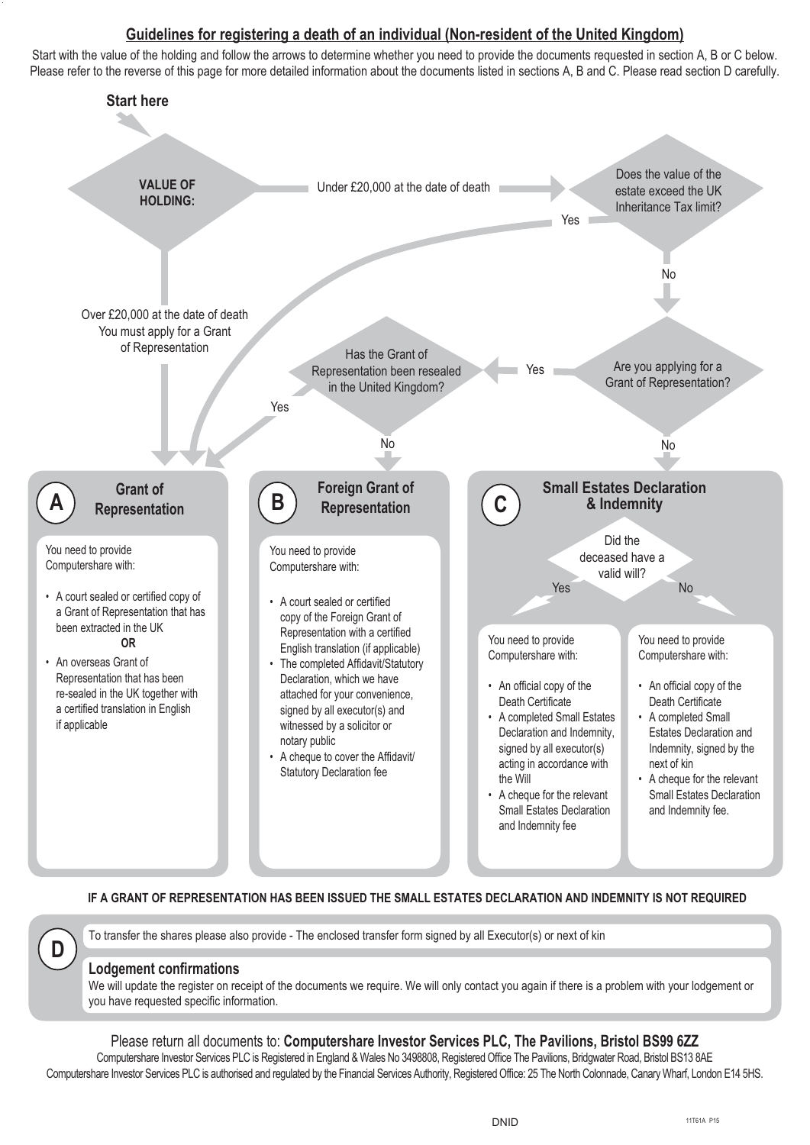# **Guidelines for registering a death of an individual (Non-resident of the United Kingdom)**

Start with the value of the holding and follow the arrows to determine whether you need to provide the documents requested in section A, B or C below. Please refer to the reverse of this page for more detailed information about the documents listed in sections A, B and C. Please read section D carefully.



#### **IF A GRANT OF REPRESENTATION HAS BEEN ISSUED THE SMALL ESTATES DECLARATION AND INDEMNITY IS NOT REQUIRED**

**D** To transfer the shares please also provide - The enclosed transfer form signed by all Executor(s) or next of kin

#### **Lodgement confirmations**

We will update the register on receipt of the documents we require. We will only contact you again if there is a problem with your lodgement or you have requested specific information.

## Please return all documents to: **Computershare Investor Services PLC, The Pavilions, Bristol BS99 6ZZ**

Computershare Investor Services PLC is Registered in England & Wales No 3498808, Registered Office The Pavilions, Bridgwater Road, Bristol BS13 8AE Computershare Investor Services PLC is authorised and regulated by the Financial Services Authority, Registered Office: 25 The North Colonnade, Canary Wharf, London E14 5HS.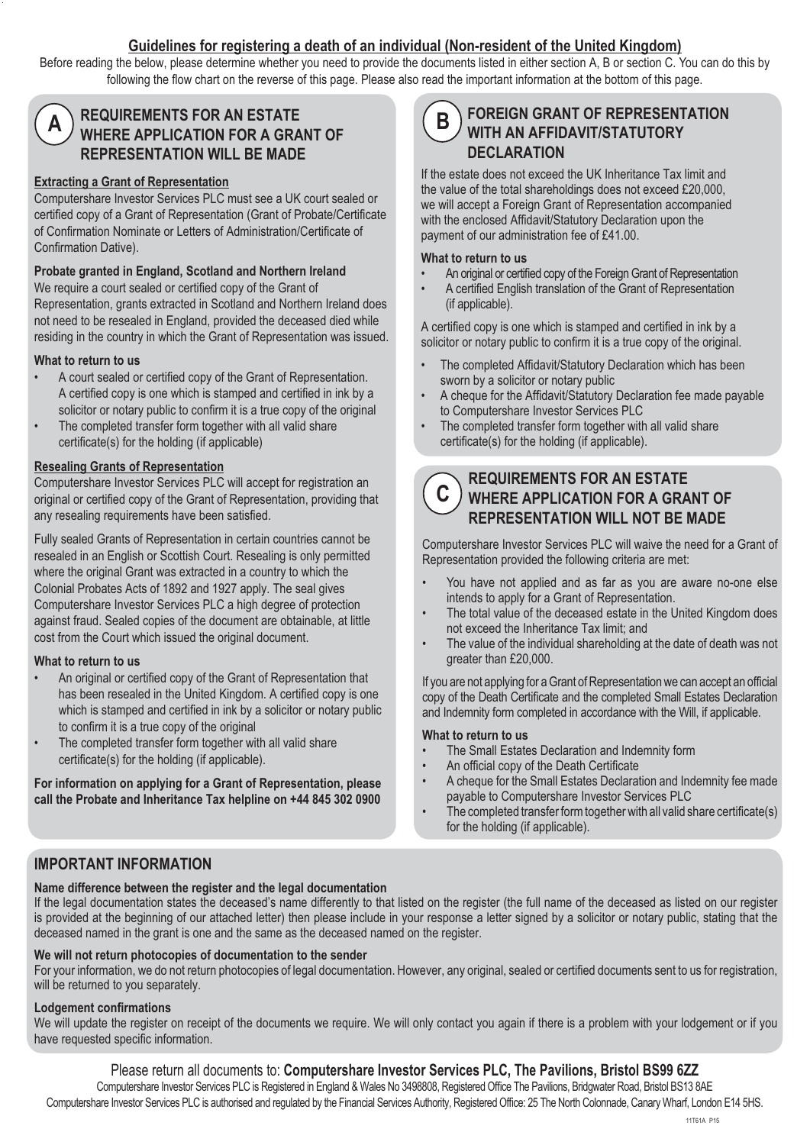# **Guidelines for registering a death of an individual (Non-resident of the United Kingdom)**

Before reading the below, please determine whether you need to provide the documents listed in either section A, B or section C. You can do this by following the flow chart on the reverse of this page. Please also read the important information at the bottom of this page.

| l | ١ |
|---|---|
| ֠ | Í |
|   |   |

# **A REQUIREMENTS FOR AN ESTATE WHERE APPLICATION FOR A GRANT OF REPRESENTATION WILL BE MADE**

#### **Extracting a Grant of Representation**

Computershare Investor Services PLC must see a UK court sealed or certified copy of a Grant of Representation (Grant of Probate/Certificate of Confirmation Nominate or Letters of Administration/Certificate of Confirmation Dative).

#### **Probate granted in England, Scotland and Northern Ireland**

We require a court sealed or certified copy of the Grant of Representation, grants extracted in Scotland and Northern Ireland does not need to be resealed in England, provided the deceased died while residing in the country in which the Grant of Representation was issued.

#### **What to return to us**

- A court sealed or certified copy of the Grant of Representation. A certified copy is one which is stamped and certified in ink by a solicitor or notary public to confirm it is a true copy of the original
- The completed transfer form together with all valid share certificate(s) for the holding (if applicable)

#### **Resealing Grants of Representation**

Computershare Investor Services PLC will accept for registration an original or certified copy of the Grant of Representation, providing that any resealing requirements have been satisfied.

Fully sealed Grants of Representation in certain countries cannot be resealed in an English or Scottish Court. Resealing is only permitted where the original Grant was extracted in a country to which the Colonial Probates Acts of 1892 and 1927 apply. The seal gives Computershare Investor Services PLC a high degree of protection against fraud. Sealed copies of the document are obtainable, at little cost from the Court which issued the original document.

#### **What to return to us**

- An original or certified copy of the Grant of Representation that has been resealed in the United Kingdom. A certified copy is one which is stamped and certified in ink by a solicitor or notary public to confirm it is a true copy of the original
- The completed transfer form together with all valid share  $c$ ertificate $(s)$  for the holding (if applicable).

**For information on applying for a Grant of Representation, please call the Probate and Inheritance Tax helpline on +44 845 302 0900**

# **FOREIGN GRANT OF REPRESENTATION WITH AN AFFIDAVIT/STATUTORY DECLARATION**

If the estate does not exceed the UK Inheritance Tax limit and the value of the total shareholdings does not exceed £20,000, we will accept a Foreign Grant of Representation accompanied with the enclosed Affidavit/Statutory Declaration upon the payment of our administration fee of £41.00.

#### **What to return to us**

- An original or certified copy of the Foreign Grant of Representation
- A certified English translation of the Grant of Representation (if applicable).

A certified copy is one which is stamped and certified in ink by a solicitor or notary public to confirm it is a true copy of the original.

- The completed Affidavit/Statutory Declaration which has been sworn by a solicitor or notary public
- A cheque for the Affidavit/Statutory Declaration fee made payable to Computershare Investor Services PLC
- The completed transfer form together with all valid share  $c$ ertificate $(s)$  for the holding (if applicable).

# **<sup>C</sup> REQUIREMENTS FOR AN ESTATE WHERE APPLICATION FOR A GRANT OF REPRESENTATION WILL NOT BE MADE**

Computershare Investor Services PLC will waive the need for a Grant of Representation provided the following criteria are met:

- You have not applied and as far as you are aware no-one else intends to apply for a Grant of Representation.
- The total value of the deceased estate in the United Kingdom does not exceed the Inheritance Tax limit; and
- The value of the individual shareholding at the date of death was not greater than £20,000.

If you are not applying for a Grant of Representation we can accept an official copy of the Death Certificate and the completed Small Estates Declaration and Indemnity form completed in accordance with the Will, if applicable.

#### **What to return to us**

- The Small Estates Declaration and Indemnity form
- An official copy of the Death Certificate
- A cheque for the Small Estates Declaration and Indemnity fee made payable to Computershare Investor Services PLC
- The completed transfer form together with all valid share certificate(s) for the holding (if applicable).

# **IMPORTANT INFORMATION**

#### **Name difference between the register and the legal documentation**

If the legal documentation states the deceased's name differently to that listed on the register (the full name of the deceased as listed on our register is provided at the beginning of our attached letter) then please include in your response a letter signed by a solicitor or notary public, stating that the deceased named in the grant is one and the same as the deceased named on the register.

#### **We will not return photocopies of documentation to the sender**

For your information, we do not return photocopies of legal documentation. However, any original, sealed or certified documents sent to us for registration, will be returned to you separately.

#### **Lodgement confirmations**

We will update the register on receipt of the documents we require. We will only contact you again if there is a problem with your lodgement or if you have requested specific information.

# Please return all documents to: **Computershare Investor Services PLC, The Pavilions, Bristol BS99 6ZZ**

Computershare Investor Services PLC is Registered in England & Wales No 3498808, Registered Office The Pavilions, Bridgwater Road, Bristol BS13 8AE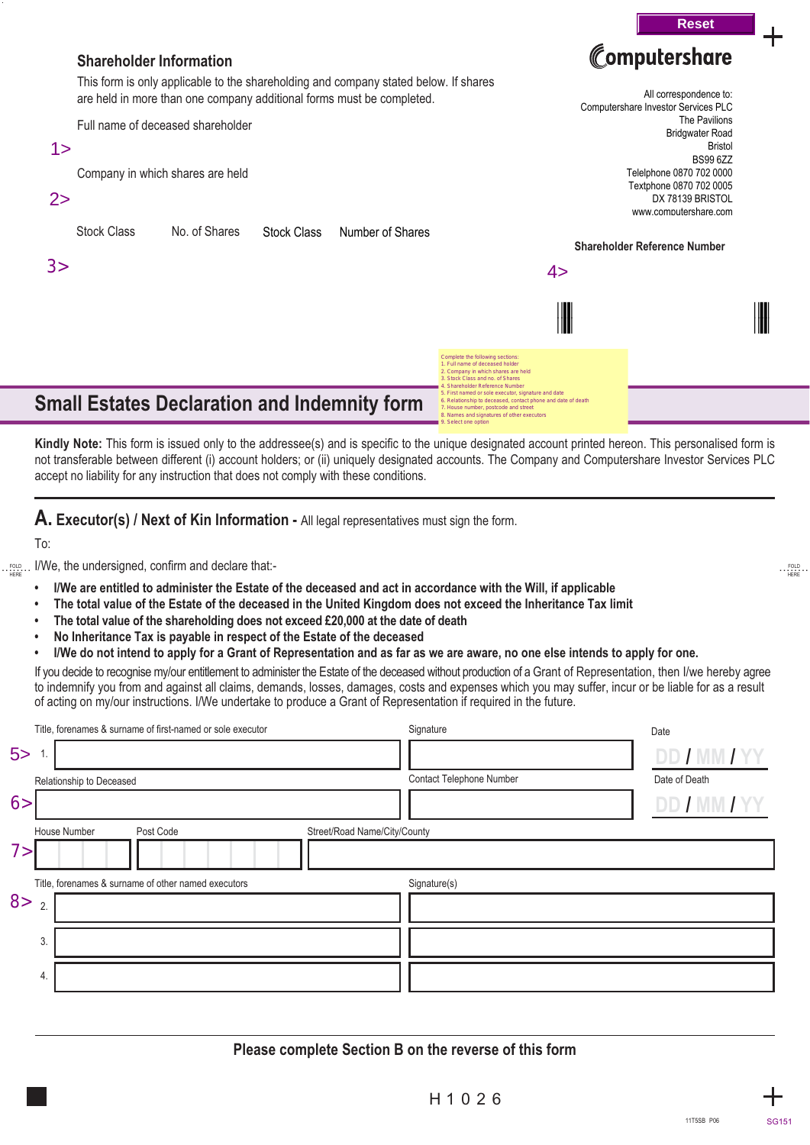

Kindly Note: This form is issued only to the addressee(s) and is specific to the unique designated account printed hereon. This personalised form is not transferable between different (i) account holders; or (ii) uniquely designated accounts. The Company and Computershare Investor Services PLC accept no liability for any instruction that does not comply with these conditions.

**A. Executor(s) / Next of Kin Information - All legal representatives must sign the form.** 

To:

**........** FOLD HERE **........** FOLD I/We, the undersigned, confi rm and declare that:-

- **• I/We are entitled to administer the Estate of the deceased and act in accordance with the Will, if applicable**
- **The total value of the Estate of the deceased in the United Kingdom does not exceed the Inheritance Tax limit**
- **The total value of the shareholding does not exceed £20,000 at the date of death**
- **No Inheritance Tax is payable in respect of the Estate of the deceased**
- **I/We do not intend to apply for a Grant of Representation and as far as we are aware, no one else intends to apply for one.**

If you decide to recognise my/our entitlement to administer the Estate of the deceased without production of a Grant of Representation, then I/we hereby agree to indemnify you from and against all claims, demands, losses, damages, costs and expenses which you may suffer, incur or be liable for as a result of acting on my/our instructions. I/We undertake to produce a Grant of Representation if required in the future.

|                          | Title, forenames & surname of first-named or sole executor |                              | Signature                | Date          |
|--------------------------|------------------------------------------------------------|------------------------------|--------------------------|---------------|
| 5 >                      |                                                            |                              |                          | DD / MM / YY  |
| Relationship to Deceased |                                                            |                              | Contact Telephone Number | Date of Death |
| 6>                       |                                                            |                              |                          | DD / MM / YY  |
| House Number             | Post Code                                                  | Street/Road Name/City/County |                          |               |
| 7>                       |                                                            |                              |                          |               |
|                          | Title, forenames & surname of other named executors        |                              | Signature(s)             |               |
| 8><br>$\overline{2}$     |                                                            |                              |                          |               |
| 3.                       |                                                            |                              |                          |               |
| 4.                       |                                                            |                              |                          |               |

# **Please complete Section B on the reverse of this form**



 $\cdot$  FOLD

**Reset**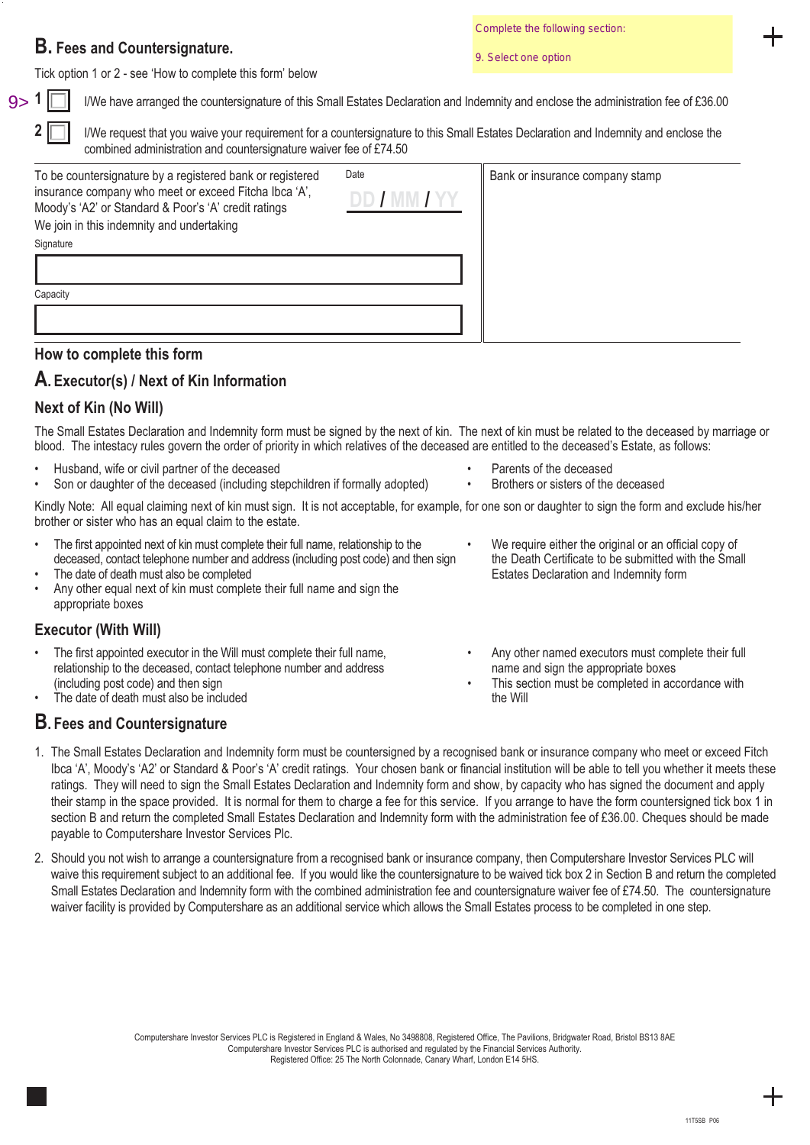# **B. Fees and Countersignature.**

Complete the following section:

Bank or insurance company stamp

9. Select one option

Tick option 1 or 2 - see 'How to complete this form' below

I/We have arranged the countersignature of this Small Estates Declaration and Indemnity and enclose the administration fee of £36.00

**1 2**

 $9<sub>></sub>$ 

I/We request that you waive your requirement for a countersignature to this Small Estates Declaration and Indemnity and enclose the combined administration and countersignature waiver fee of £74.50

| To be countersignature by a registered bank or registered<br>insurance company who meet or exceed Fitcha Ibca 'A',<br>Moody's 'A2' or Standard & Poor's 'A' credit ratings<br>We join in this indemnity and undertaking | Date<br>DD / MM / YY |
|-------------------------------------------------------------------------------------------------------------------------------------------------------------------------------------------------------------------------|----------------------|
| Signature                                                                                                                                                                                                               |                      |
| Capacity                                                                                                                                                                                                                |                      |
|                                                                                                                                                                                                                         |                      |

## **How to complete this form**

# **A. Executor(s) / Next of Kin Information**

# **Next of Kin (No Will)**

The Small Estates Declaration and Indemnity form must be signed by the next of kin. The next of kin must be related to the deceased by marriage or blood. The intestacy rules govern the order of priority in which relatives of the deceased are entitled to the deceased's Estate, as follows:

- Husband, wife or civil partner of the deceased **•** Parents of the deceased
- Son or daughter of the deceased (including stepchildren if formally adopted) Brothers or sisters of the deceased
- Kindly Note: All equal claiming next of kin must sign. It is not acceptable, for example, for one son or daughter to sign the form and exclude his/her brother or sister who has an equal claim to the estate.
- The first appointed next of kin must complete their full name, relationship to the We require either the original or an official copy of deceased, contact telephone number and address (including post code) and then sig deceased, contact telephone number and address (including post code) and then sign the Death Certificate to be submitted with The date of death must also be completed by the Small of the Small of the Small of the Small of
- The date of death must also be completed
- Any other equal next of kin must complete their full name and sign the appropriate boxes

# **Executor (With Will)**

- The first appointed executor in the Will must complete their full name,<br>
relationship to the deceased, contact telephone number and address<br>
name and sign the appropriate boxes relationship to the deceased, contact telephone number and address (including post code) and then sign • This section must be completed in accordance with
- The date of death must also be included the Will the Will the Will the Will the Will the Will the Will the Will the Will the Will the Will the Will the Will the Will the Will the Will the Will the Will the Will the Will th

# **B. Fees and Countersignature**

- 
- 
- 
- 
- 
- 1. The Small Estates Declaration and Indemnity form must be countersigned by a recognised bank or insurance company who meet or exceed Fitch Ibca 'A', Moody's 'A2' or Standard & Poor's 'A' credit ratings. Your chosen bank or financial institution will be able to tell you whether it meets these ratings. They will need to sign the Small Estates Declaration and Indemnity form and show, by capacity who has signed the document and apply their stamp in the space provided. It is normal for them to charge a fee for this service. If you arrange to have the form countersigned tick box 1 in section B and return the completed Small Estates Declaration and Indemnity form with the administration fee of £36.00. Cheques should be made payable to Computershare Investor Services Plc.
- 2. Should you not wish to arrange a countersignature from a recognised bank or insurance company, then Computershare Investor Services PLC will waive this requirement subject to an additional fee. If you would like the countersignature to be waived tick box 2 in Section B and return the completed Small Estates Declaration and Indemnity form with the combined administration fee and countersignature waiver fee of £74.50. The countersignature waiver facility is provided by Computershare as an additional service which allows the Small Estates process to be completed in one step.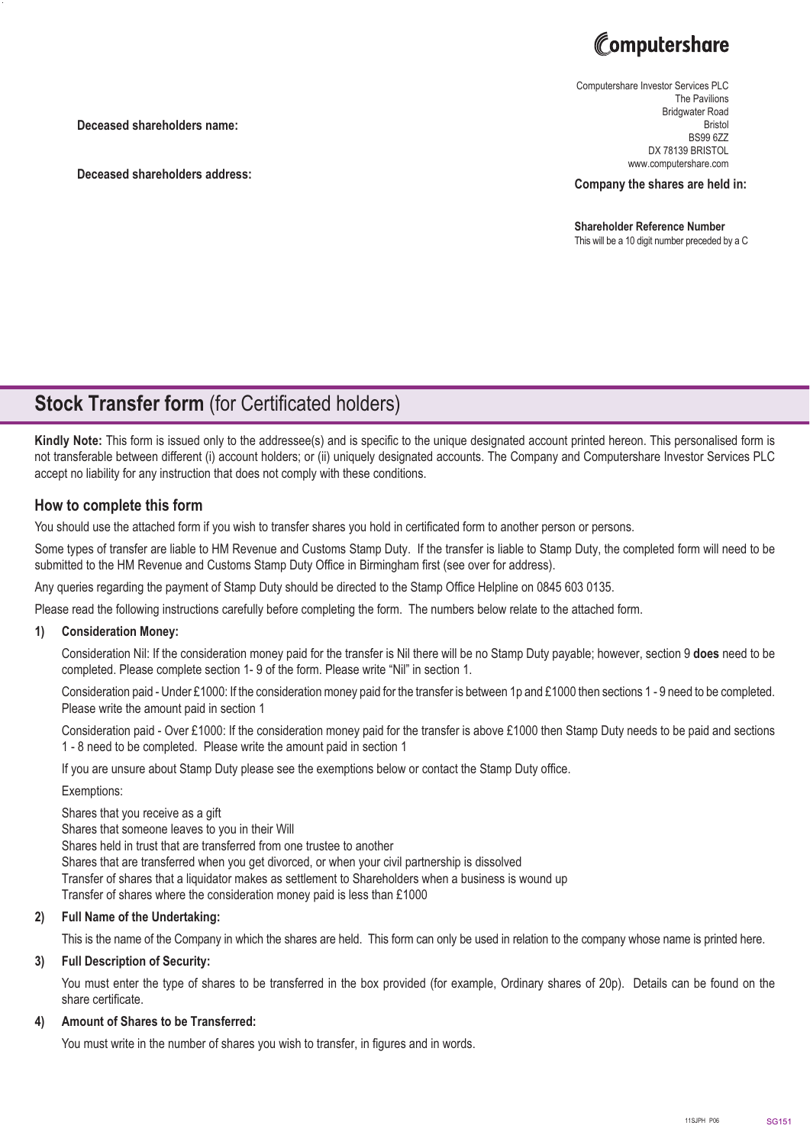

**Deceased shareholders name:**

**Deceased shareholders address:**

Computershare Investor Services PLC The Pavilions Bridgwater Road Bristol BS99 6ZZ DX 78139 BRISTOL www.computershare.com

**Company the shares are held in:**

**Shareholder Reference Number** This will be a 10 digit number preceded by a C

# **Stock Transfer form** (for Certificated holders)

Kindly Note: This form is issued only to the addressee(s) and is specific to the unique designated account printed hereon. This personalised form is not transferable between different (i) account holders; or (ii) uniquely designated accounts. The Company and Computershare Investor Services PLC accept no liability for any instruction that does not comply with these conditions.

#### **How to complete this form**

You should use the attached form if you wish to transfer shares you hold in certificated form to another person or persons.

Some types of transfer are liable to HM Revenue and Customs Stamp Duty. If the transfer is liable to Stamp Duty, the completed form will need to be submitted to the HM Revenue and Customs Stamp Duty Office in Birmingham first (see over for address).

Any queries regarding the payment of Stamp Duty should be directed to the Stamp Office Helpline on 0845 603 0135.

Please read the following instructions carefully before completing the form. The numbers below relate to the attached form.

#### **1) Consideration Money:**

Consideration Nil: If the consideration money paid for the transfer is Nil there will be no Stamp Duty payable; however, section 9 **does** need to be completed. Please complete section 1- 9 of the form. Please write "Nil" in section 1.

Consideration paid - Under £1000: If the consideration money paid for the transfer is between 1p and £1000 then sections 1 - 9 need to be completed. Please write the amount paid in section 1

Consideration paid - Over £1000: If the consideration money paid for the transfer is above £1000 then Stamp Duty needs to be paid and sections 1 - 8 need to be completed. Please write the amount paid in section 1

If you are unsure about Stamp Duty please see the exemptions below or contact the Stamp Duty office.

Exemptions:

Shares that you receive as a gift Shares that someone leaves to you in their Will Shares held in trust that are transferred from one trustee to another Shares that are transferred when you get divorced, or when your civil partnership is dissolved Transfer of shares that a liquidator makes as settlement to Shareholders when a business is wound up Transfer of shares where the consideration money paid is less than £1000

#### **2) Full Name of the Undertaking:**

This is the name of the Company in which the shares are held. This form can only be used in relation to the company whose name is printed here.

#### **3) Full Description of Security:**

 You must enter the type of shares to be transferred in the box provided (for example, Ordinary shares of 20p). Details can be found on the share certificate.

#### **4) Amount of Shares to be Transferred:**

You must write in the number of shares you wish to transfer, in figures and in words.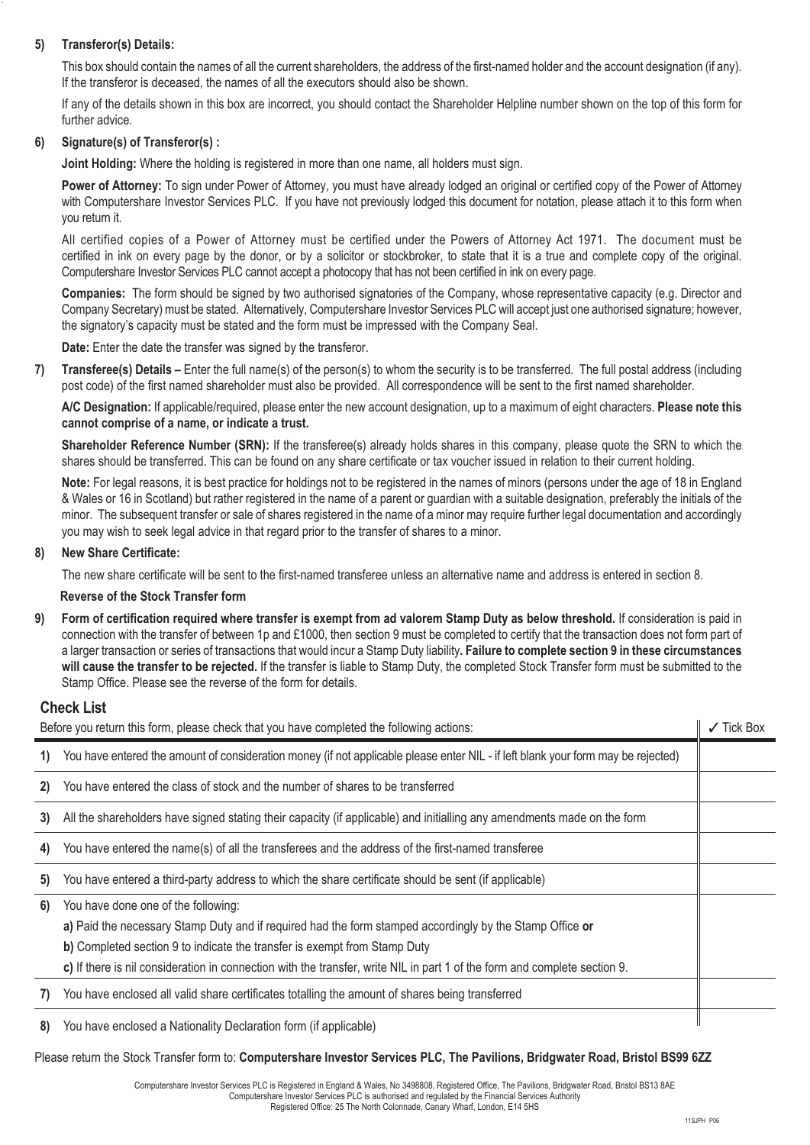#### **5) Transferor(s) Details:**

This box should contain the names of all the current shareholders, the address of the first-named holder and the account designation (if any). If the transferor is deceased, the names of all the executors should also be shown.

 If any of the details shown in this box are incorrect, you should contact the Shareholder Helpline number shown on the top of this form for further advice.

#### **6) Signature(s) of Transferor(s) :**

 **Joint Holding:** Where the holding is registered in more than one name, all holders must sign.

Power of Attorney: To sign under Power of Attorney, you must have already lodged an original or certified copy of the Power of Attorney with Computershare Investor Services PLC. If you have not previously lodged this document for notation, please attach it to this form when you return it.

 All certified copies of a Power of Attorney must be certified under the Powers of Attorney Act 1971. The document must be certified in ink on every page by the donor, or by a solicitor or stockbroker, to state that it is a true and complete copy of the original. Computershare Investor Services PLC cannot accept a photocopy that has not been certified in ink on every page.

**Companies:** The form should be signed by two authorised signatories of the Company, whose representative capacity (e.g. Director and Company Secretary) must be stated. Alternatively, Computershare Investor Services PLC will accept just one authorised signature; however, the signatory's capacity must be stated and the form must be impressed with the Company Seal.

 **Date:** Enter the date the transfer was signed by the transferor.

**7) Transferee(s) Details –** Enter the full name(s) of the person(s) to whom the security is to be transferred. The full postal address (including post code) of the first named shareholder must also be provided. All correspondence will be sent to the first named shareholder.

 **A/C Designation:** If applicable/required, please enter the new account designation, up to a maximum of eight characters. **Please note this cannot comprise of a name, or indicate a trust.**

**Shareholder Reference Number (SRN):** If the transferee(s) already holds shares in this company, please quote the SRN to which the shares should be transferred. This can be found on any share certificate or tax voucher issued in relation to their current holding.

 **Note:** For legal reasons, it is best practice for holdings not to be registered in the names of minors (persons under the age of 18 in England & Wales or 16 in Scotland) but rather registered in the name of a parent or guardian with a suitable designation, preferably the initials of the minor. The subsequent transfer or sale of shares registered in the name of a minor may require further legal documentation and accordingly you may wish to seek legal advice in that regard prior to the transfer of shares to a minor.

#### **8)** New Share Certificate:

The new share certificate will be sent to the first-named transferee unless an alternative name and address is entered in section 8.

#### **Reverse of the Stock Transfer form**

**9)** Form of certification required where transfer is exempt from ad valorem Stamp Duty as below threshold. If consideration is paid in connection with the transfer of between 1p and £1000, then section 9 must be completed to certify that the transaction does not form part of a larger transaction or series of transactions that would incur a Stamp Duty liability**. Failure to complete section 9 in these circumstances will cause the transfer to be rejected.** If the transfer is liable to Stamp Duty, the completed Stock Transfer form must be submitted to the Stamp Office. Please see the reverse of the form for details.

# **Check List**

|    | Before you return this form, please check that you have completed the following actions:                                          | $\sqrt{}$ Tick Box |
|----|-----------------------------------------------------------------------------------------------------------------------------------|--------------------|
| 1) | You have entered the amount of consideration money (if not applicable please enter NIL - if left blank your form may be rejected) |                    |
| 2) | You have entered the class of stock and the number of shares to be transferred                                                    |                    |
| 3) | All the shareholders have signed stating their capacity (if applicable) and initialling any amendments made on the form           |                    |
| 4) | You have entered the name(s) of all the transferees and the address of the first-named transferee                                 |                    |
| 5) | You have entered a third-party address to which the share certificate should be sent (if applicable)                              |                    |
| 6) | You have done one of the following:                                                                                               |                    |
|    | a) Paid the necessary Stamp Duty and if required had the form stamped accordingly by the Stamp Office or                          |                    |
|    | b) Completed section 9 to indicate the transfer is exempt from Stamp Duty                                                         |                    |
|    | c) If there is nil consideration in connection with the transfer, write NIL in part 1 of the form and complete section 9.         |                    |
| 7) | You have enclosed all valid share certificates totalling the amount of shares being transferred                                   |                    |
| 8) | You have enclosed a Nationality Declaration form (if applicable)                                                                  |                    |

Please return the Stock Transfer form to: **Computershare Investor Services PLC, The Pavilions, Bridgwater Road, Bristol BS99 6ZZ**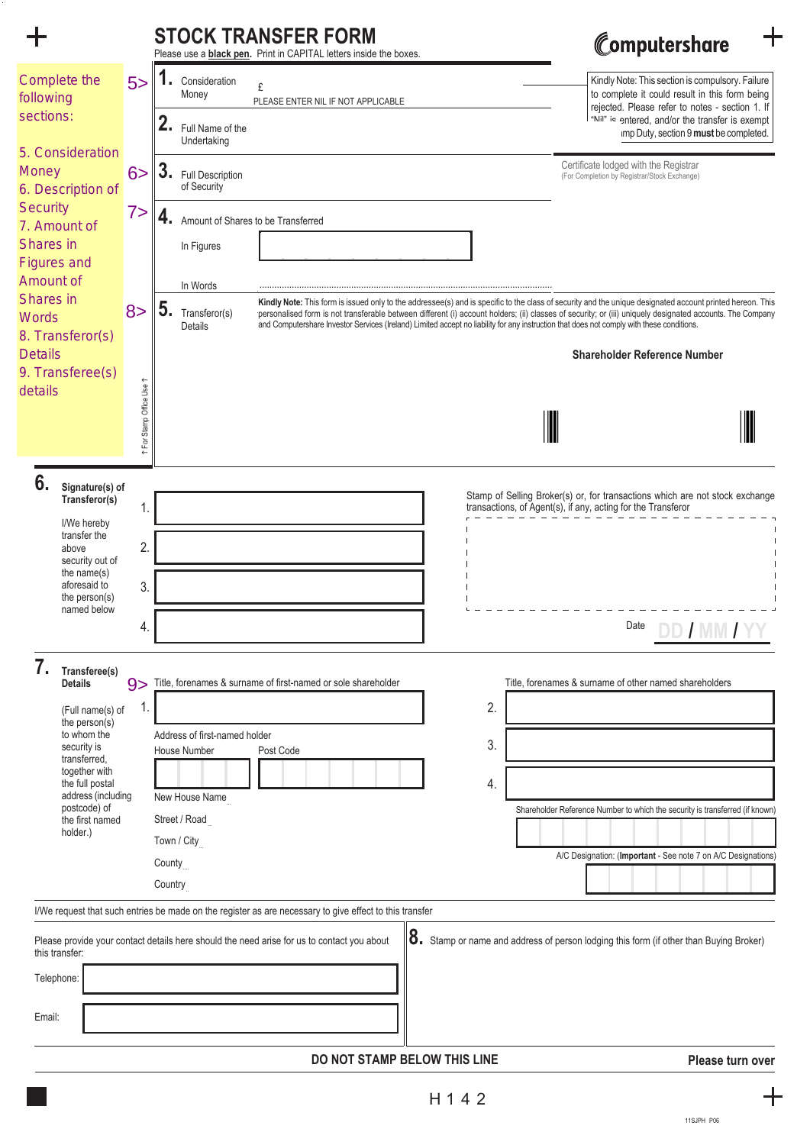|                                                   |                          |                                                          | <b>STOCK TRANSFER FORM</b><br>Please use a <b>black pen</b> . Print in CAPITAL letters inside the boxes. |    | Computershare                                                                                                                                                                                                                                                                                                                                                                                                                                                       |
|---------------------------------------------------|--------------------------|----------------------------------------------------------|----------------------------------------------------------------------------------------------------------|----|---------------------------------------------------------------------------------------------------------------------------------------------------------------------------------------------------------------------------------------------------------------------------------------------------------------------------------------------------------------------------------------------------------------------------------------------------------------------|
| <b>Complete the</b><br>following                  | 5 <sub>5</sub>           | Consideration<br>Money                                   | £<br>PLEASE ENTER NIL IF NOT APPLICABLE                                                                  |    | Kindly Note: This section is compulsory. Failure<br>to complete it could result in this form being<br>rejected. Please refer to notes - section 1. If                                                                                                                                                                                                                                                                                                               |
| sections:<br>5. Consideration                     |                          | Full Name of the<br>Undertaking                          |                                                                                                          |    | "Nil" is entered, and/or the transfer is exempt<br>imp Duty, section 9 must be completed.                                                                                                                                                                                                                                                                                                                                                                           |
| <b>Money</b><br>6. Description of                 | $6\geq$                  | 3 <sub>1</sub><br><b>Full Description</b><br>of Security |                                                                                                          |    | Certificate lodged with the Registrar<br>(For Completion by Registrar/Stock Exchange)                                                                                                                                                                                                                                                                                                                                                                               |
| <b>Security</b><br>7. Amount of                   | 7>                       | 4.                                                       | Amount of Shares to be Transferred                                                                       |    |                                                                                                                                                                                                                                                                                                                                                                                                                                                                     |
| <b>Shares in</b><br><b>Figures and</b>            |                          | In Figures                                               |                                                                                                          |    |                                                                                                                                                                                                                                                                                                                                                                                                                                                                     |
| Amount of<br><b>Shares in</b>                     |                          | In Words                                                 |                                                                                                          |    |                                                                                                                                                                                                                                                                                                                                                                                                                                                                     |
| <b>Words</b><br>8. Transferor(s)                  | 8>                       | 5.<br>Transferor(s)<br>Details                           |                                                                                                          |    | Kindly Note: This form is issued only to the addressee(s) and is specific to the class of security and the unique designated account printed hereon. This<br>personalised form is not transferable between different (i) account holders; (ii) classes of security; or (iii) uniquely designated accounts. The Company<br>and Computershare Investor Services (Ireland) Limited accept no liability for any instruction that does not comply with these conditions. |
| <b>Details</b><br>9. Transferee(s)                |                          |                                                          |                                                                                                          |    | <b>Shareholder Reference Number</b>                                                                                                                                                                                                                                                                                                                                                                                                                                 |
| details                                           |                          |                                                          |                                                                                                          |    |                                                                                                                                                                                                                                                                                                                                                                                                                                                                     |
|                                                   | ↑ For Stamp Office Use ↑ |                                                          |                                                                                                          |    |                                                                                                                                                                                                                                                                                                                                                                                                                                                                     |
| 6.<br>Signature(s) of<br>Transferor(s)            |                          |                                                          |                                                                                                          |    | Stamp of Selling Broker(s) or, for transactions which are not stock exchange                                                                                                                                                                                                                                                                                                                                                                                        |
| I/We hereby                                       | 1.                       |                                                          |                                                                                                          |    | transactions, of Agent(s), if any, acting for the Transferor                                                                                                                                                                                                                                                                                                                                                                                                        |
| transfer the<br>above                             | 2.                       |                                                          |                                                                                                          |    |                                                                                                                                                                                                                                                                                                                                                                                                                                                                     |
| security out of<br>the name $(s)$<br>aforesaid to | 3.                       |                                                          |                                                                                                          |    |                                                                                                                                                                                                                                                                                                                                                                                                                                                                     |
| the person(s)<br>named below                      |                          |                                                          |                                                                                                          |    |                                                                                                                                                                                                                                                                                                                                                                                                                                                                     |
|                                                   | 4.                       |                                                          |                                                                                                          |    | Date                                                                                                                                                                                                                                                                                                                                                                                                                                                                |
| Transferee(s)<br><b>Details</b>                   | 9>                       |                                                          | Title, forenames & surname of first-named or sole shareholder                                            |    | Title, forenames & surname of other named shareholders                                                                                                                                                                                                                                                                                                                                                                                                              |
| (Full name(s) of                                  | 1.                       |                                                          |                                                                                                          | 2. |                                                                                                                                                                                                                                                                                                                                                                                                                                                                     |
| the person(s)<br>to whom the                      |                          | Address of first-named holder                            |                                                                                                          |    |                                                                                                                                                                                                                                                                                                                                                                                                                                                                     |
| security is<br>transferred,<br>together with      |                          | House Number                                             | Post Code                                                                                                | 3. |                                                                                                                                                                                                                                                                                                                                                                                                                                                                     |
| the full postal<br>address (including             |                          | New House Name                                           |                                                                                                          | 4. |                                                                                                                                                                                                                                                                                                                                                                                                                                                                     |
| postcode) of<br>the first named<br>holder.)       |                          | Street / Road                                            |                                                                                                          |    | Shareholder Reference Number to which the security is transferred (if known)                                                                                                                                                                                                                                                                                                                                                                                        |
|                                                   |                          | Town / City                                              |                                                                                                          |    |                                                                                                                                                                                                                                                                                                                                                                                                                                                                     |
|                                                   |                          | County                                                   |                                                                                                          |    | A/C Designation: (Important - See note 7 on A/C Designations)                                                                                                                                                                                                                                                                                                                                                                                                       |
|                                                   |                          | Country                                                  |                                                                                                          |    |                                                                                                                                                                                                                                                                                                                                                                                                                                                                     |
|                                                   |                          |                                                          | I/We request that such entries be made on the register as are necessary to give effect to this transfer  |    |                                                                                                                                                                                                                                                                                                                                                                                                                                                                     |
| this transfer:                                    |                          |                                                          | Please provide your contact details here should the need arise for us to contact you about               |    | 8. Stamp or name and address of person lodging this form (if other than Buying Broker)                                                                                                                                                                                                                                                                                                                                                                              |
| Telephone:                                        |                          |                                                          |                                                                                                          |    |                                                                                                                                                                                                                                                                                                                                                                                                                                                                     |
|                                                   |                          |                                                          |                                                                                                          |    |                                                                                                                                                                                                                                                                                                                                                                                                                                                                     |
| Email:                                            |                          |                                                          |                                                                                                          |    |                                                                                                                                                                                                                                                                                                                                                                                                                                                                     |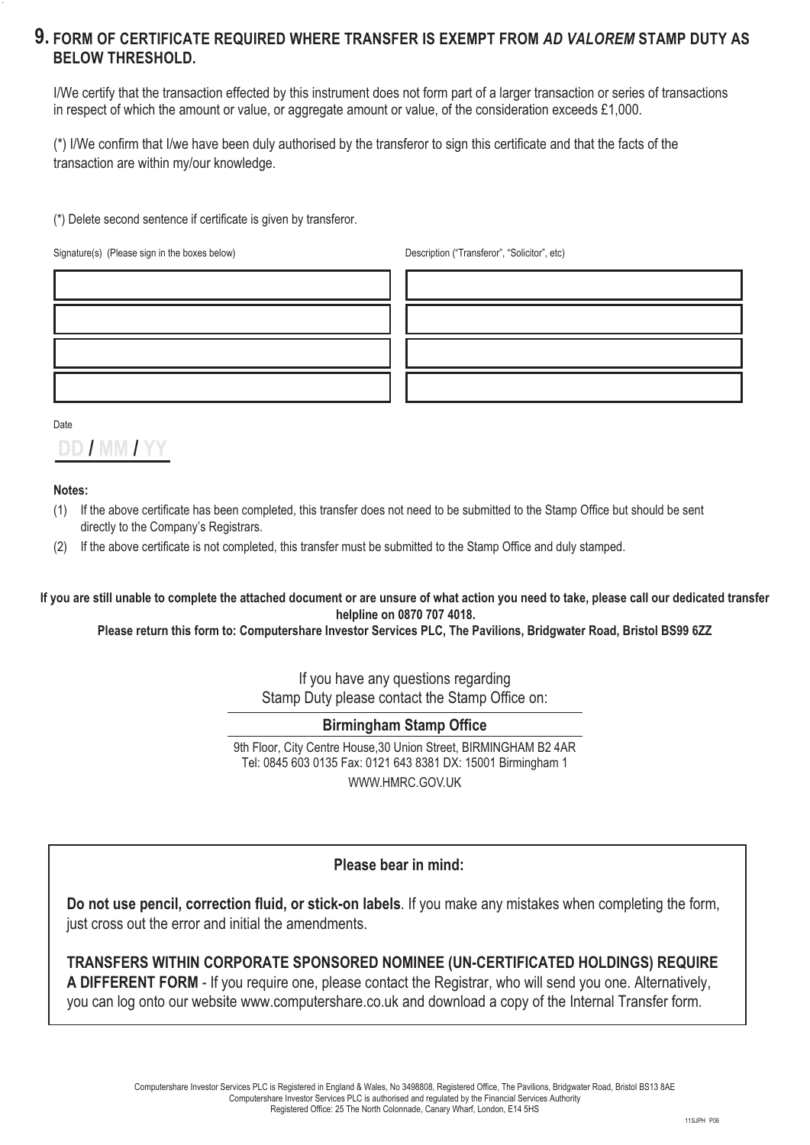# **FORM OF CERTIFICATE REQUIRED WHERE TRANSFER IS EXEMPT FROM** *AD VALOREM* **STAMP DUTY AS 9. BELOW THRESHOLD.**

I/We certify that the transaction effected by this instrument does not form part of a larger transaction or series of transactions in respect of which the amount or value, or aggregate amount or value, of the consideration exceeds £1,000.

 $(*)$  I/We confirm that I/we have been duly authorised by the transferor to sign this certificate and that the facts of the transaction are within my/our knowledge.

 $(*)$  Delete second sentence if certificate is given by transferor.

Signature(s) (Please sign in the boxes below) Description ("Transferor", "Solicitor", etc)

| the control of the control of the control of<br>,我们也不会有什么?""我们的话,我们也不会有什么?""我们的话,我们也不会有什么?""我们的话,我们也不会有什么?""我们的话,我们也不会有什么?""我们的话                                            |  |
|-----------------------------------------------------------------------------------------------------------------------------------------------------------------------------|--|
|                                                                                                                                                                             |  |
| $\mathcal{L}^{\text{max}}_{\text{max}}$ and $\mathcal{L}^{\text{max}}_{\text{max}}$ and $\mathcal{L}^{\text{max}}_{\text{max}}$ and $\mathcal{L}^{\text{max}}_{\text{max}}$ |  |



Date

# **DD / MM / YY**

### **Notes:**

- (1) If the above certificate has been completed, this transfer does not need to be submitted to the Stamp Office but should be sent directly to the Company's Registrars.
- (2) If the above certificate is not completed, this transfer must be submitted to the Stamp Office and duly stamped.

**If you are still unable to complete the attached document or are unsure of what action you need to take, please call our dedicated transfer helpline on 0870 707 4018.** 

**Please return this form to: Computershare Investor Services PLC, The Pavilions, Bridgwater Road, Bristol BS99 6ZZ**

If you have any questions regarding Stamp Duty please contact the Stamp Office on:

# **Birmingham Stamp Office**

9th Floor, City Centre House,30 Union Street, BIRMINGHAM B2 4AR Tel: 0845 603 0135 Fax: 0121 643 8381 DX: 15001 Birmingham 1 WWW.HMRC.GOV.UK

# **Please bear in mind:**

**Do not use pencil, correction fluid, or stick-on labels**. If you make any mistakes when completing the form, just cross out the error and initial the amendments.

**TRANSFERS WITHIN CORPORATE SPONSORED NOMINEE (UN-CERTIFICATED HOLDINGS) REQUIRE A DIFFERENT FORM** - If you require one, please contact the Registrar, who will send you one. Alternatively, you can log onto our website www.computershare.co.uk and download a copy of the Internal Transfer form.